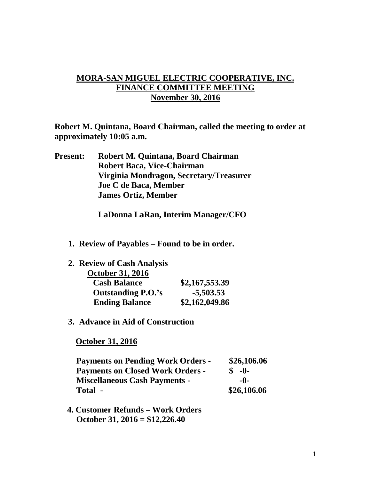## **MORA-SAN MIGUEL ELECTRIC COOPERATIVE, INC. FINANCE COMMITTEE MEETING November 30, 2016**

**Robert M. Quintana, Board Chairman, called the meeting to order at approximately 10:05 a.m.**

**Present: Robert M. Quintana, Board Chairman Robert Baca, Vice-Chairman Virginia Mondragon, Secretary/Treasurer Joe C de Baca, Member James Ortiz, Member**

**LaDonna LaRan, Interim Manager/CFO**

**1. Review of Payables – Found to be in order.**

| 2. Review of Cash Analysis |                |
|----------------------------|----------------|
| <b>October 31, 2016</b>    |                |
| <b>Cash Balance</b>        | \$2,167,553.39 |
| <b>Outstanding P.O.'s</b>  | $-5,503.53$    |
| <b>Ending Balance</b>      | \$2,162,049.86 |

**3. Advance in Aid of Construction**

 **October 31, 2016**

| <b>Payments on Pending Work Orders -</b> | \$26,106.06  |
|------------------------------------------|--------------|
| <b>Payments on Closed Work Orders -</b>  | $\delta$ -0- |
| <b>Miscellaneous Cash Payments -</b>     | -0-          |
| Total -                                  | \$26,106.06  |

 **4. Customer Refunds – Work Orders October 31, 2016 = \$12,226.40**